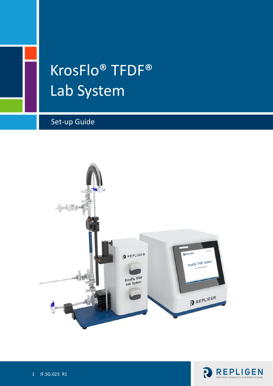# KrosFlo® TFDF® Lab System

# Set-up Guide



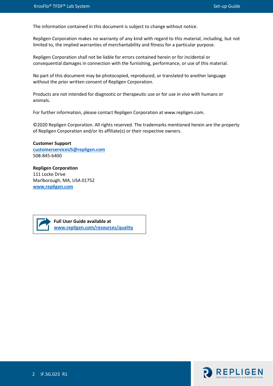The information contained in this document is subject to change without notice.

Repligen Corporation makes no warranty of any kind with regard to this material, including, but not limited to, the implied warranties of merchantability and fitness for a particular purpose.

Repligen Corporation shall not be liable for errors contained herein or for incidental or consequential damages in connection with the furnishing, performance, or use of this material.

No part of this document may be photocopied, reproduced, or translated to another language without the prior written consent of Repligen Corporation.

Products are not intended for diagnostic or therapeutic use or for use *in vivo* with humans or animals.

For further information, please contact Repligen Corporation at www.repligen.com.

©2020 Repligen Corporation. All rights reserved. The trademarks mentioned herein are the property of Repligen Corporation and/or its affiliate(s) or their respective owners.

**Customer Support [customerserviceUS@repligen.com](mailto:customerserviceUS@repligen.com)** 508-845-6400

#### **Repligen Corporation** 111 Locke Drive Marlborough, MA, USA 01752 **www.repligen.com**

**Full User Guide available at [www.repligen.com/resources/quality](http://www.repligen.com/resources/quality)**

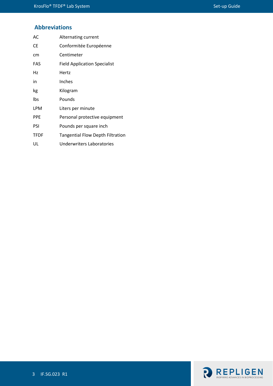# **Abbreviations**

| AC          | Alternating current                     |
|-------------|-----------------------------------------|
| <b>CE</b>   | Conformitée Européenne                  |
| cm          | Centimeter                              |
| <b>FAS</b>  | <b>Field Application Specialist</b>     |
| Hz          | Hertz                                   |
| in          | Inches                                  |
| kg          | Kilogram                                |
| lbs         | Pounds                                  |
| LPM         | Liters per minute                       |
| <b>PPE</b>  | Personal protective equipment           |
| PSI         | Pounds per square inch                  |
| <b>TFDF</b> | <b>Tangential Flow Depth Filtration</b> |
| UL          | Underwriters Laboratories               |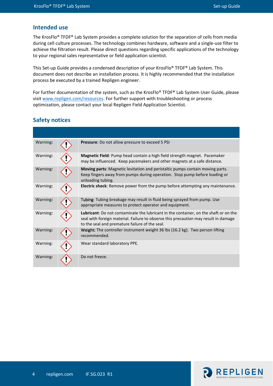## **Intended use**

The KrosFlo® TFDF® Lab System provides a complete solution for the separation of cells from media during cell culture processes. The technology combines hardware, software and a single-use filter to achieve the filtration result. Please direct questions regarding specific applications of the technology to your regional sales representative or field application scientist.

This Set-up Guide provides a condensed description of your KrosFlo® TFDF® Lab System. This document does not describe an installation process. It is highly recommended that the installation process be executed by a trained Repligen engineer.

For further documentation of the system, such as the KrosFlo® TFDF® Lab System User Guide, please visi[t www.repligen.com/resources.](http://www.repligen.com/resources) For further support with troubleshooting or process optimization, please contact your local Repligen Field Application Scientist.

# **Safety notices**

| Warning: | Pressure: Do not allow pressure to exceed 5 PSI                                                                                                                                                                               |
|----------|-------------------------------------------------------------------------------------------------------------------------------------------------------------------------------------------------------------------------------|
| Warning: | Magnetic Field: Pump head contain a high field strength magnet. Pacemaker<br>may be influenced. Keep pacemakers and other magnets at a safe distance.                                                                         |
| Warning: | Moving parts: Magnetic levitation and peristaltic pumps contain moving parts.<br>Keep fingers away from pumps during operation. Stop pump before loading or<br>unloading tubing.                                              |
| Warning: | <b>Electric shock:</b> Remove power from the pump before attempting any maintenance.                                                                                                                                          |
| Warning: | Tubing: Tubing breakage may result in fluid being sprayed from pump. Use<br>appropriate measures to protect operator and equipment.                                                                                           |
| Warning: | Lubricant: Do not contaminate the lubricant in the container, on the shaft or on the<br>seal with foreign material. Failure to observe this precaution may result in damage<br>to the seal and premature failure of the seal. |
| Warning: | Weight: The controller instrument weight 36 lbs (16.2 kg). Two person lifting<br>recommended.                                                                                                                                 |
| Warning: | Wear standard laboratory PPE.                                                                                                                                                                                                 |
| Warning: | Do not freeze.                                                                                                                                                                                                                |

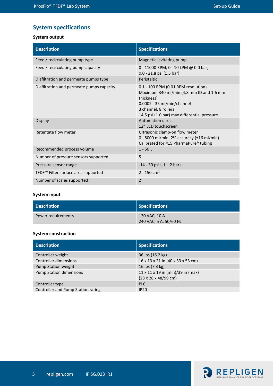# **System specifications**

## **System output**

| <b>Description</b>                              | <b>Specifications</b>                                                                                                                                                                                 |
|-------------------------------------------------|-------------------------------------------------------------------------------------------------------------------------------------------------------------------------------------------------------|
| Feed / recirculating pump type                  | Magnetic levitating pump                                                                                                                                                                              |
| Feed / recirculating pump capacity              | 0 - 11000 RPM, 0 - 10 LPM @ 0.0 bar,<br>0.0 - 21.8 psi (1.5 bar)                                                                                                                                      |
| Diafiltration and permeate pumps type           | Peristaltic                                                                                                                                                                                           |
| Diafiltration and permeate pumps capacity       | 0.1 - 100 RPM (0.01 RPM resolution)<br>Maximum 340 ml/min (4.8 mm ID and 1.6 mm<br>thickness)<br>$0.0002 - 35$ ml/min/channel<br>3 channel, 8 rollers<br>14.5 psi (1.0 bar) max differential pressure |
| Display                                         | <b>Automation direct</b><br>12" LCD touchscreen                                                                                                                                                       |
| Retentate flow meter                            | Ultrasonic clamp-on flow meter<br>0 - 8000 ml/min, 2% accuracy (±16 ml/min)<br>Calibrated for #15 PharmaPure® tubing                                                                                  |
| Recommended process volume                      | $1 - 50$ L                                                                                                                                                                                            |
| Number of pressure sensors supported            | 5                                                                                                                                                                                                     |
| Pressure sensor range                           | $-14 - 30$ psi $(-1 - 2 \text{ bar})$                                                                                                                                                                 |
| TFDF <sup>™</sup> Filter surface area supported | $2 - 150$ cm <sup>2</sup>                                                                                                                                                                             |
| Number of scales supported                      | $\overline{2}$                                                                                                                                                                                        |

# **System input**

| <b>Description</b> | Specifications         |
|--------------------|------------------------|
| Power requirements | 120 VAC, 10 A          |
|                    | 240 VAC, 5 A, 50/60 Hz |

#### **System construction**

| <b>Description</b>                 | <b>Specifications</b>                         |
|------------------------------------|-----------------------------------------------|
| Controller weight                  | 36 lbs (16.2 kg)                              |
| <b>Controller dimensions</b>       | 16 x 13 x 21 in (40 x 33 x 53 cm)             |
| <b>Pump Station weight</b>         | 16 lbs (7.3 kg)                               |
| <b>Pump Station dimensions</b>     | $11 \times 11 \times 19$ in (min)/39 in (max) |
|                                    | $(28 \times 28 \times 48/99$ cm)              |
| Controller type                    | <b>PLC</b>                                    |
| Controller and Pump Station rating | IP20                                          |

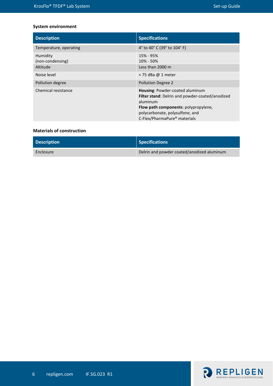#### **System environment**

| <b>Description</b>                       | <b>Specifications</b>                                                                                                                                                                                                        |
|------------------------------------------|------------------------------------------------------------------------------------------------------------------------------------------------------------------------------------------------------------------------------|
| Temperature, operating                   | 4° to 40° C (39° to 104° F)                                                                                                                                                                                                  |
| Humidity<br>(non-condensing)<br>Altitude | 15% - 95%<br>$10\% - 50\%$<br>Less than 2000 m                                                                                                                                                                               |
| Noise level                              | $<$ 75 dBa @ 1 meter                                                                                                                                                                                                         |
| Pollution degree                         | <b>Pollution Degree 2</b>                                                                                                                                                                                                    |
| Chemical resistance                      | Housing: Powder-coated aluminum<br><b>Filter stand:</b> Delrin and powder-coated/anodized<br>aluminum<br>Flow path components: polypropylene,<br>polycarbonate, polysulfone, and<br>C-Flex/PharmaPure <sup>®</sup> materials |

#### **Materials of construction**

| <b>Description</b> | Specifications                             |
|--------------------|--------------------------------------------|
| Enclosure          | Delrin and powder coated/anodized aluminum |

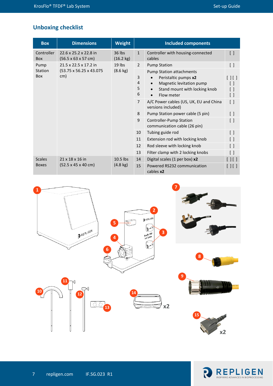# **Unboxing checklist**

| <b>Box</b>               | <b>Dimensions</b>                                                | <b>Weight</b>                  | <b>Included components</b> |                                                                                                                                    |                                                     |
|--------------------------|------------------------------------------------------------------|--------------------------------|----------------------------|------------------------------------------------------------------------------------------------------------------------------------|-----------------------------------------------------|
| Controller<br><b>Box</b> | 22.6 x 25.2 x 22.8 in<br>$(56.5 \times 63 \times 57 \text{ cm})$ | 36 lbs<br>$(16.2 \text{ kg})$  | $\mathbf{1}$               | Controller with housing-connected<br>cables                                                                                        | $\left[ \ \right]$                                  |
| Pump                     | 21.5 x 22.5 x 17.2 in                                            | $19$ lbs                       | $\overline{2}$             | <b>Pump Station</b>                                                                                                                | $\left[ \ \right]$                                  |
| Station<br><b>Box</b>    | (53.75 x 56.25 x 43.075)<br>cm)                                  | $(8.6 \text{ kg})$             | 3<br>4<br>5<br>6           | <b>Pump Station attachments</b><br>Peristaltic pumps x2<br>Magnetic levitation pump<br>Stand mount with locking knob<br>Flow meter | [     [ ]<br>$\Box$<br>$\left[ \ \right]$<br>$[\ ]$ |
|                          |                                                                  |                                | $\overline{7}$             | A/C Power cables (US, UK, EU and China<br>versions included)                                                                       | $\left[ \ \right]$                                  |
|                          |                                                                  |                                | 8                          | Pump Station power cable (5 pin)                                                                                                   | $\begin{bmatrix} \end{bmatrix}$                     |
|                          |                                                                  |                                | 9                          | Controller-Pump Station<br>communication cable (26 pin)                                                                            | $\left[ \ \right]$                                  |
|                          |                                                                  |                                | 10                         | Tubing guide rod                                                                                                                   | $\left[ \ \right]$                                  |
|                          |                                                                  |                                | 11                         | Extension rod with locking knob                                                                                                    | $\left[ \ \right]$                                  |
|                          |                                                                  |                                | 12                         | Rod sleeve with locking knob                                                                                                       | $\left[ \ \right]$                                  |
|                          |                                                                  |                                | 13                         | Filter clamp with 2 locking knobs                                                                                                  | $\left[ \ \right]$                                  |
| <b>Scales</b>            | 21 x 18 x 16 in<br>$(52.5 \times 45 \times 40 \text{ cm})$       | 10.5 lbs<br>$(4.8 \text{ kg})$ | 14                         | Digital scales (1 per box) x2                                                                                                      | $[ \ ] [ \ ]$                                       |
| <b>Boxes</b>             |                                                                  |                                | 15                         | Powered RS232 communication<br>cables x2                                                                                           | $\Box\Box$                                          |



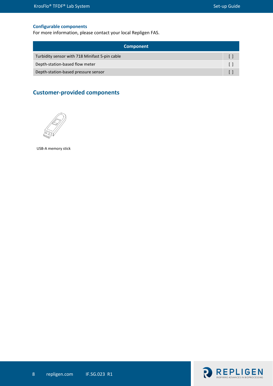#### **Configurable components**

For more information, please contact your local Repligen FAS.

| <b>Component</b>                               |  |  |
|------------------------------------------------|--|--|
| Turbidity sensor with 718 Minifast 5-pin cable |  |  |
| Depth-station-based flow meter                 |  |  |
| Depth-station-based pressure sensor            |  |  |

# **Customer-provided components**



USB-A memory stick

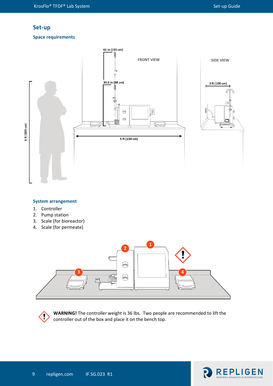#### **Set-up**

#### **Space requirements**



#### **System arrangement**

- 1. Controller
- 2. Pump station
- 3. Scale (for bioreactor)
- 4. Scale (for permeate)





**WARNING!** The controller weight is 36 lbs. Two people are recommended to lift the controller out of the box and place it on the bench top.

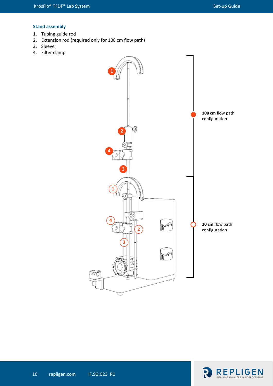#### **Stand assembly**

- 1. Tubing guide rod
- 2. Extension rod (required only for 108 cm flow path)
- 3. Sleeve
- 4. Filter clamp